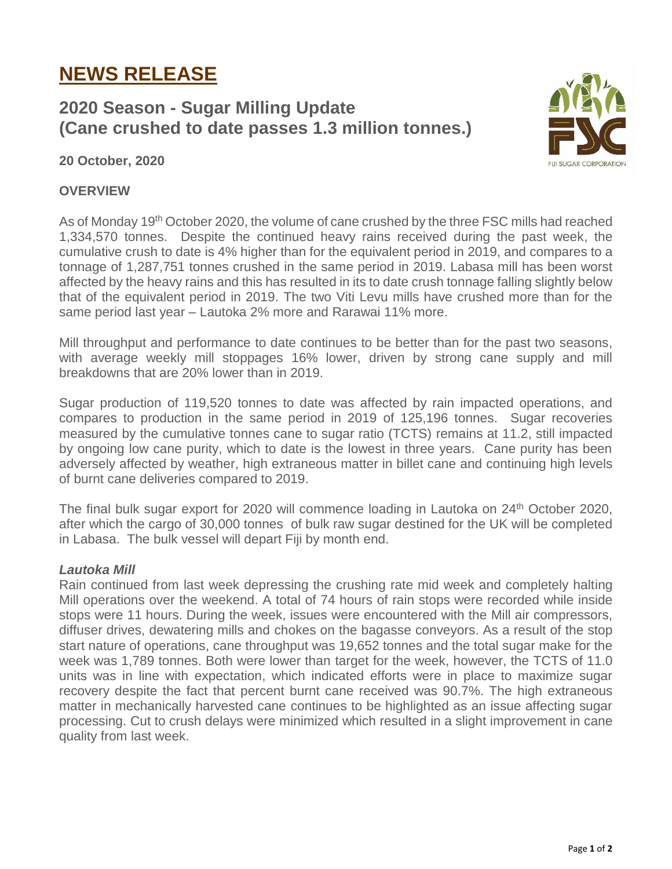# **NEWS RELEASE**

## **2020 Season - Sugar Milling Update (Cane crushed to date passes 1.3 million tonnes.)**



**20 October, 2020**

### **OVERVIEW**

As of Monday 19<sup>th</sup> October 2020, the volume of cane crushed by the three FSC mills had reached 1,334,570 tonnes. Despite the continued heavy rains received during the past week, the cumulative crush to date is 4% higher than for the equivalent period in 2019, and compares to a tonnage of 1,287,751 tonnes crushed in the same period in 2019. Labasa mill has been worst affected by the heavy rains and this has resulted in its to date crush tonnage falling slightly below that of the equivalent period in 2019. The two Viti Levu mills have crushed more than for the same period last year – Lautoka 2% more and Rarawai 11% more.

Mill throughput and performance to date continues to be better than for the past two seasons, with average weekly mill stoppages 16% lower, driven by strong cane supply and mill breakdowns that are 20% lower than in 2019.

Sugar production of 119,520 tonnes to date was affected by rain impacted operations, and compares to production in the same period in 2019 of 125,196 tonnes. Sugar recoveries measured by the cumulative tonnes cane to sugar ratio (TCTS) remains at 11.2, still impacted by ongoing low cane purity, which to date is the lowest in three years. Cane purity has been adversely affected by weather, high extraneous matter in billet cane and continuing high levels of burnt cane deliveries compared to 2019.

The final bulk sugar export for 2020 will commence loading in Lautoka on 24<sup>th</sup> October 2020, after which the cargo of 30,000 tonnes of bulk raw sugar destined for the UK will be completed in Labasa. The bulk vessel will depart Fiji by month end.

#### *Lautoka Mill*

Rain continued from last week depressing the crushing rate mid week and completely halting Mill operations over the weekend. A total of 74 hours of rain stops were recorded while inside stops were 11 hours. During the week, issues were encountered with the Mill air compressors, diffuser drives, dewatering mills and chokes on the bagasse conveyors. As a result of the stop start nature of operations, cane throughput was 19,652 tonnes and the total sugar make for the week was 1,789 tonnes. Both were lower than target for the week, however, the TCTS of 11.0 units was in line with expectation, which indicated efforts were in place to maximize sugar recovery despite the fact that percent burnt cane received was 90.7%. The high extraneous matter in mechanically harvested cane continues to be highlighted as an issue affecting sugar processing. Cut to crush delays were minimized which resulted in a slight improvement in cane quality from last week.